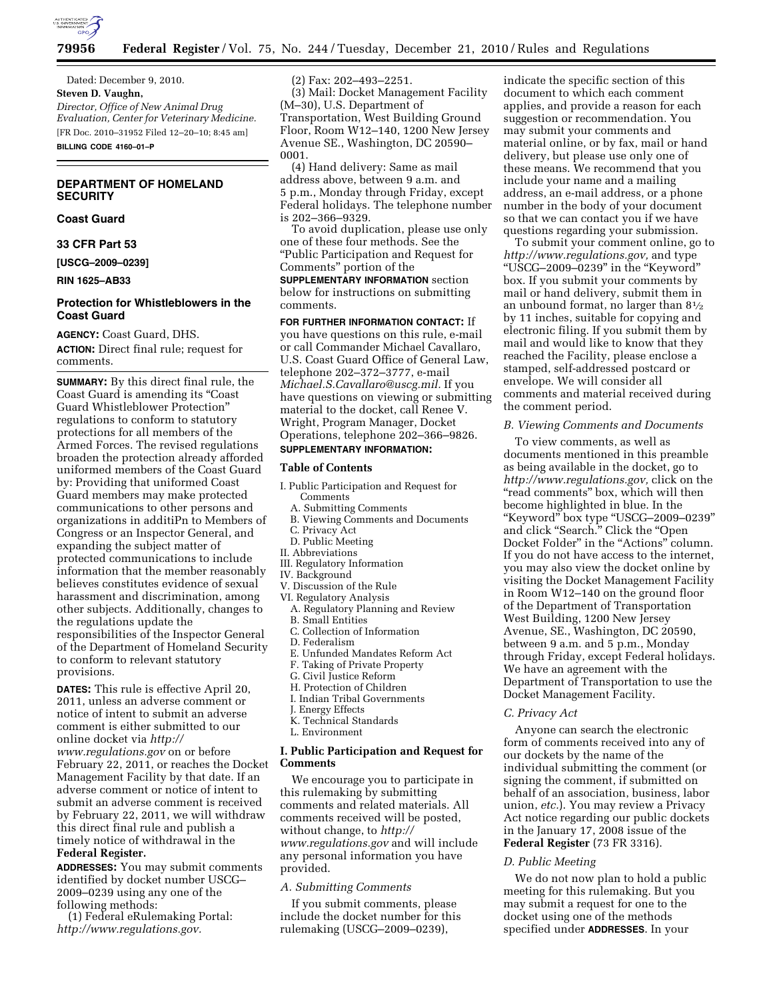

Dated: December 9, 2010. **Steven D. Vaughn,**  *Director, Office of New Animal Drug Evaluation, Center for Veterinary Medicine.*  [FR Doc. 2010–31952 Filed 12–20–10; 8:45 am] **BILLING CODE 4160–01–P** 

## **DEPARTMENT OF HOMELAND SECURITY**

### **Coast Guard**

**33 CFR Part 53** 

**[USCG–2009–0239]** 

**RIN 1625–AB33** 

# **Protection for Whistleblowers in the Coast Guard**

**AGENCY:** Coast Guard, DHS. **ACTION:** Direct final rule; request for comments.

**SUMMARY:** By this direct final rule, the Coast Guard is amending its ''Coast Guard Whistleblower Protection'' regulations to conform to statutory protections for all members of the Armed Forces. The revised regulations broaden the protection already afforded uniformed members of the Coast Guard by: Providing that uniformed Coast Guard members may make protected communications to other persons and organizations in additiPn to Members of Congress or an Inspector General, and expanding the subject matter of protected communications to include information that the member reasonably believes constitutes evidence of sexual harassment and discrimination, among other subjects. Additionally, changes to the regulations update the responsibilities of the Inspector General of the Department of Homeland Security to conform to relevant statutory provisions.

**DATES:** This rule is effective April 20, 2011, unless an adverse comment or notice of intent to submit an adverse comment is either submitted to our online docket via *[http://](http://www.regulations.gov) [www.regulations.gov](http://www.regulations.gov)* on or before February 22, 2011, or reaches the Docket Management Facility by that date. If an adverse comment or notice of intent to submit an adverse comment is received by February 22, 2011, we will withdraw this direct final rule and publish a timely notice of withdrawal in the **Federal Register.** 

**ADDRESSES:** You may submit comments identified by docket number USCG– 2009–0239 using any one of the following methods:

(1) Federal eRulemaking Portal: *[http://www.regulations.gov.](http://www.regulations.gov)* 

(2) Fax: 202–493–2251.

(3) Mail: Docket Management Facility (M–30), U.S. Department of Transportation, West Building Ground Floor, Room W12–140, 1200 New Jersey Avenue SE., Washington, DC 20590– 0001.

(4) Hand delivery: Same as mail address above, between 9 a.m. and 5 p.m., Monday through Friday, except Federal holidays. The telephone number is 202–366–9329.

To avoid duplication, please use only one of these four methods. See the ''Public Participation and Request for Comments'' portion of the

**SUPPLEMENTARY INFORMATION** section below for instructions on submitting comments.

**FOR FURTHER INFORMATION CONTACT:** If you have questions on this rule, e-mail or call Commander Michael Cavallaro, U.S. Coast Guard Office of General Law, telephone 202–372–3777, e-mail *[Michael.S.Cavallaro@uscg.mil.](mailto:Michael.S.Cavallaro@uscg.mil)* If you have questions on viewing or submitting material to the docket, call Renee V. Wright, Program Manager, Docket Operations, telephone 202–366–9826.

# **SUPPLEMENTARY INFORMATION:**

#### **Table of Contents**

- I. Public Participation and Request for Comments
	- A. Submitting Comments
	- B. Viewing Comments and Documents
	- C. Privacy Act
- D. Public Meeting II. Abbreviations
- III. Regulatory Information
- IV. Background
- V. Discussion of the Rule
- VI. Regulatory Analysis
- A. Regulatory Planning and Review B. Small Entities
- C. Collection of Information
- D. Federalism
- E. Unfunded Mandates Reform Act
- F. Taking of Private Property
- G. Civil Justice Reform
- H. Protection of Children
- I. Indian Tribal Governments
- J. Energy Effects K. Technical Standards
- L. Environment

## **I. Public Participation and Request for Comments**

We encourage you to participate in this rulemaking by submitting comments and related materials. All comments received will be posted, without change, to *[http://](http://www.regulations.gov)  [www.regulations.gov](http://www.regulations.gov)* and will include any personal information you have provided.

# *A. Submitting Comments*

If you submit comments, please include the docket number for this rulemaking (USCG–2009–0239),

indicate the specific section of this document to which each comment applies, and provide a reason for each suggestion or recommendation. You may submit your comments and material online, or by fax, mail or hand delivery, but please use only one of these means. We recommend that you include your name and a mailing address, an e-mail address, or a phone number in the body of your document so that we can contact you if we have questions regarding your submission.

To submit your comment online, go to *[http://www.regulations.gov,](http://www.regulations.gov)* and type ''USCG–2009–0239'' in the ''Keyword'' box. If you submit your comments by mail or hand delivery, submit them in an unbound format, no larger than 81⁄2 by 11 inches, suitable for copying and electronic filing. If you submit them by mail and would like to know that they reached the Facility, please enclose a stamped, self-addressed postcard or envelope. We will consider all comments and material received during the comment period.

#### *B. Viewing Comments and Documents*

To view comments, as well as documents mentioned in this preamble as being available in the docket, go to *[http://www.regulations.gov,](http://www.regulations.gov)* click on the "read comments" box, which will then become highlighted in blue. In the ''Keyword'' box type ''USCG–2009–0239'' and click ''Search.'' Click the ''Open Docket Folder" in the "Actions" column. If you do not have access to the internet, you may also view the docket online by visiting the Docket Management Facility in Room W12–140 on the ground floor of the Department of Transportation West Building, 1200 New Jersey Avenue, SE., Washington, DC 20590, between 9 a.m. and 5 p.m., Monday through Friday, except Federal holidays. We have an agreement with the Department of Transportation to use the Docket Management Facility.

#### *C. Privacy Act*

Anyone can search the electronic form of comments received into any of our dockets by the name of the individual submitting the comment (or signing the comment, if submitted on behalf of an association, business, labor union, *etc.*). You may review a Privacy Act notice regarding our public dockets in the January 17, 2008 issue of the **Federal Register** (73 FR 3316).

## *D. Public Meeting*

We do not now plan to hold a public meeting for this rulemaking. But you may submit a request for one to the docket using one of the methods specified under **ADDRESSES**. In your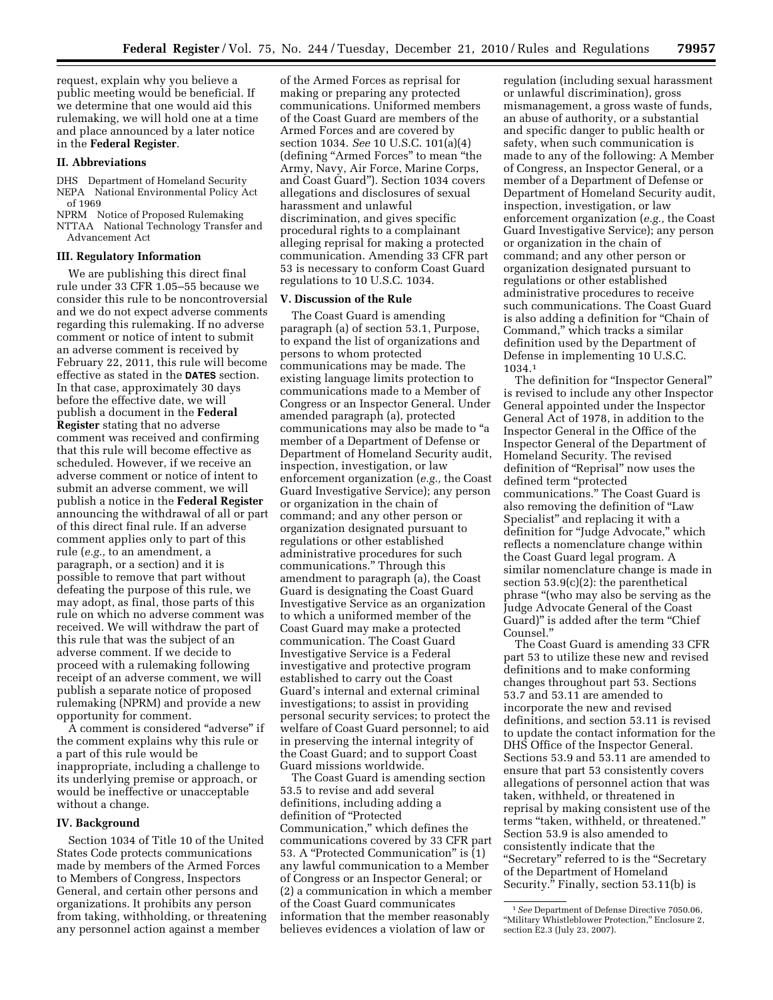request, explain why you believe a public meeting would be beneficial. If we determine that one would aid this rulemaking, we will hold one at a time and place announced by a later notice in the **Federal Register**.

#### **II. Abbreviations**

- DHS Department of Homeland Security NEPA National Environmental Policy Act of 1969
- NPRM Notice of Proposed Rulemaking
- NTTAA National Technology Transfer and Advancement Act

#### **III. Regulatory Information**

We are publishing this direct final rule under 33 CFR 1.05–55 because we consider this rule to be noncontroversial and we do not expect adverse comments regarding this rulemaking. If no adverse comment or notice of intent to submit an adverse comment is received by February 22, 2011, this rule will become effective as stated in the **DATES** section. In that case, approximately 30 days before the effective date, we will publish a document in the **Federal Register** stating that no adverse comment was received and confirming that this rule will become effective as scheduled. However, if we receive an adverse comment or notice of intent to submit an adverse comment, we will publish a notice in the **Federal Register**  announcing the withdrawal of all or part of this direct final rule. If an adverse comment applies only to part of this rule (*e.g.,* to an amendment, a paragraph, or a section) and it is possible to remove that part without defeating the purpose of this rule, we may adopt, as final, those parts of this rule on which no adverse comment was received. We will withdraw the part of this rule that was the subject of an adverse comment. If we decide to proceed with a rulemaking following receipt of an adverse comment, we will publish a separate notice of proposed rulemaking (NPRM) and provide a new opportunity for comment.

A comment is considered ''adverse'' if the comment explains why this rule or a part of this rule would be inappropriate, including a challenge to its underlying premise or approach, or would be ineffective or unacceptable without a change.

#### **IV. Background**

Section 1034 of Title 10 of the United States Code protects communications made by members of the Armed Forces to Members of Congress, Inspectors General, and certain other persons and organizations. It prohibits any person from taking, withholding, or threatening any personnel action against a member

of the Armed Forces as reprisal for making or preparing any protected communications. Uniformed members of the Coast Guard are members of the Armed Forces and are covered by section 1034. *See* 10 U.S.C. 101(a)(4) (defining ''Armed Forces'' to mean ''the Army, Navy, Air Force, Marine Corps, and Coast Guard''). Section 1034 covers allegations and disclosures of sexual harassment and unlawful discrimination, and gives specific procedural rights to a complainant alleging reprisal for making a protected communication. Amending 33 CFR part 53 is necessary to conform Coast Guard regulations to 10 U.S.C. 1034.

## **V. Discussion of the Rule**

The Coast Guard is amending paragraph (a) of section 53.1, Purpose, to expand the list of organizations and persons to whom protected communications may be made. The existing language limits protection to communications made to a Member of Congress or an Inspector General. Under amended paragraph (a), protected communications may also be made to ''a member of a Department of Defense or Department of Homeland Security audit, inspection, investigation, or law enforcement organization (*e.g.,* the Coast Guard Investigative Service); any person or organization in the chain of command; and any other person or organization designated pursuant to regulations or other established administrative procedures for such communications.'' Through this amendment to paragraph (a), the Coast Guard is designating the Coast Guard Investigative Service as an organization to which a uniformed member of the Coast Guard may make a protected communication. The Coast Guard Investigative Service is a Federal investigative and protective program established to carry out the Coast Guard's internal and external criminal investigations; to assist in providing personal security services; to protect the welfare of Coast Guard personnel; to aid in preserving the internal integrity of the Coast Guard; and to support Coast Guard missions worldwide.

The Coast Guard is amending section 53.5 to revise and add several definitions, including adding a definition of ''Protected Communication,'' which defines the communications covered by 33 CFR part 53. A ''Protected Communication'' is (1) any lawful communication to a Member of Congress or an Inspector General; or (2) a communication in which a member of the Coast Guard communicates information that the member reasonably believes evidences a violation of law or

regulation (including sexual harassment or unlawful discrimination), gross mismanagement, a gross waste of funds, an abuse of authority, or a substantial and specific danger to public health or safety, when such communication is made to any of the following: A Member of Congress, an Inspector General, or a member of a Department of Defense or Department of Homeland Security audit, inspection, investigation, or law enforcement organization (*e.g.,* the Coast Guard Investigative Service); any person or organization in the chain of command; and any other person or organization designated pursuant to regulations or other established administrative procedures to receive such communications. The Coast Guard is also adding a definition for ''Chain of Command,'' which tracks a similar definition used by the Department of Defense in implementing 10 U.S.C. 1034.1

The definition for ''Inspector General'' is revised to include any other Inspector General appointed under the Inspector General Act of 1978, in addition to the Inspector General in the Office of the Inspector General of the Department of Homeland Security. The revised definition of ''Reprisal'' now uses the defined term ''protected communications.'' The Coast Guard is also removing the definition of ''Law Specialist'' and replacing it with a definition for ''Judge Advocate,'' which reflects a nomenclature change within the Coast Guard legal program. A similar nomenclature change is made in section 53.9(c)(2): the parenthetical phrase ''(who may also be serving as the Judge Advocate General of the Coast Guard)" is added after the term "Chief Counsel.''

The Coast Guard is amending 33 CFR part 53 to utilize these new and revised definitions and to make conforming changes throughout part 53. Sections 53.7 and 53.11 are amended to incorporate the new and revised definitions, and section 53.11 is revised to update the contact information for the DHS Office of the Inspector General. Sections 53.9 and 53.11 are amended to ensure that part 53 consistently covers allegations of personnel action that was taken, withheld, or threatened in reprisal by making consistent use of the terms "taken, withheld, or threatened." Section 53.9 is also amended to consistently indicate that the "Secretary" referred to is the "Secretary of the Department of Homeland Security.'' Finally, section 53.11(b) is

<sup>1</sup>*See* Department of Defense Directive 7050.06, ''Military Whistleblower Protection,'' Enclosure 2, section E2.3 (July 23, 2007).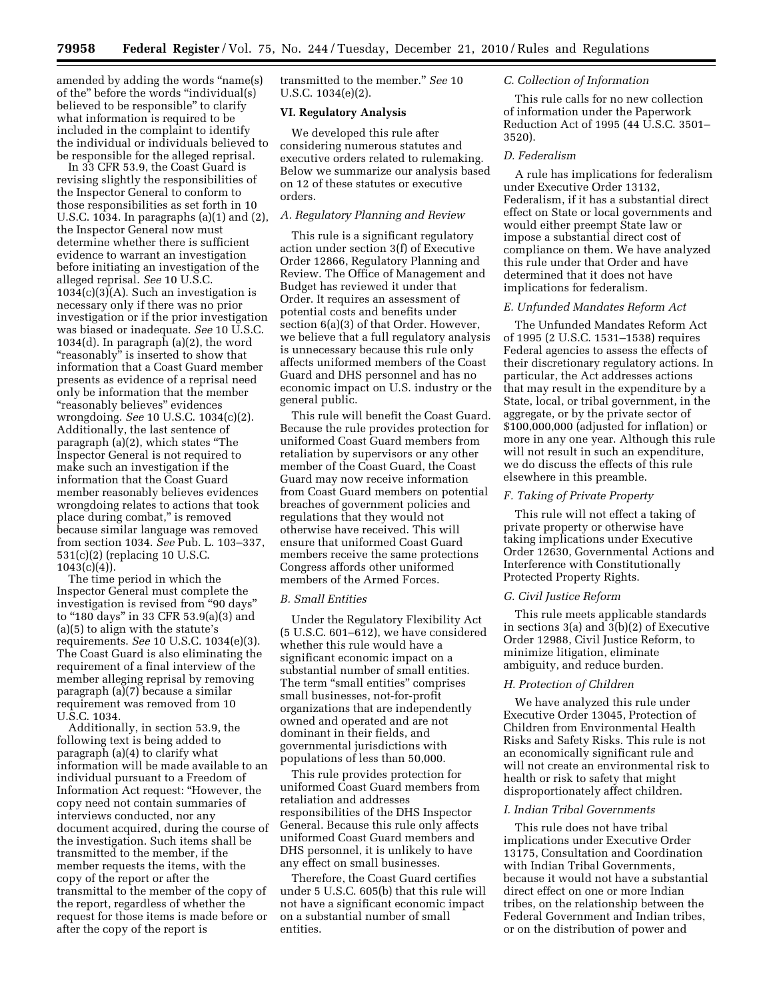amended by adding the words ''name(s) of the'' before the words ''individual(s) believed to be responsible'' to clarify what information is required to be included in the complaint to identify the individual or individuals believed to be responsible for the alleged reprisal.

In 33 CFR 53.9, the Coast Guard is revising slightly the responsibilities of the Inspector General to conform to those responsibilities as set forth in 10 U.S.C. 1034. In paragraphs (a)(1) and (2), the Inspector General now must determine whether there is sufficient evidence to warrant an investigation before initiating an investigation of the alleged reprisal. *See* 10 U.S.C.  $1034(c)(3)(A)$ . Such an investigation is necessary only if there was no prior investigation or if the prior investigation was biased or inadequate. *See* 10 U.S.C. 1034(d). In paragraph (a)(2), the word "reasonably" is inserted to show that information that a Coast Guard member presents as evidence of a reprisal need only be information that the member ''reasonably believes'' evidences wrongdoing. *See* 10 U.S.C. 1034(c)(2). Additionally, the last sentence of paragraph (a)(2), which states ''The Inspector General is not required to make such an investigation if the information that the Coast Guard member reasonably believes evidences wrongdoing relates to actions that took place during combat," is removed because similar language was removed from section 1034. *See* Pub. L. 103–337, 531(c)(2) (replacing 10 U.S.C.  $1043(c)(4)$ ).

The time period in which the Inspector General must complete the investigation is revised from ''90 days'' to ''180 days'' in 33 CFR 53.9(a)(3) and (a)(5) to align with the statute's requirements. *See* 10 U.S.C. 1034(e)(3). The Coast Guard is also eliminating the requirement of a final interview of the member alleging reprisal by removing paragraph (a)(7) because a similar requirement was removed from 10 U.S.C. 1034.

Additionally, in section 53.9, the following text is being added to paragraph (a)(4) to clarify what information will be made available to an individual pursuant to a Freedom of Information Act request: ''However, the copy need not contain summaries of interviews conducted, nor any document acquired, during the course of the investigation. Such items shall be transmitted to the member, if the member requests the items, with the copy of the report or after the transmittal to the member of the copy of the report, regardless of whether the request for those items is made before or after the copy of the report is

transmitted to the member.'' *See* 10 U.S.C. 1034(e)(2).

## **VI. Regulatory Analysis**

We developed this rule after considering numerous statutes and executive orders related to rulemaking. Below we summarize our analysis based on 12 of these statutes or executive orders.

# *A. Regulatory Planning and Review*

This rule is a significant regulatory action under section 3(f) of Executive Order 12866, Regulatory Planning and Review. The Office of Management and Budget has reviewed it under that Order. It requires an assessment of potential costs and benefits under section 6(a)(3) of that Order. However, we believe that a full regulatory analysis is unnecessary because this rule only affects uniformed members of the Coast Guard and DHS personnel and has no economic impact on U.S. industry or the general public.

This rule will benefit the Coast Guard. Because the rule provides protection for uniformed Coast Guard members from retaliation by supervisors or any other member of the Coast Guard, the Coast Guard may now receive information from Coast Guard members on potential breaches of government policies and regulations that they would not otherwise have received. This will ensure that uniformed Coast Guard members receive the same protections Congress affords other uniformed members of the Armed Forces.

### *B. Small Entities*

Under the Regulatory Flexibility Act (5 U.S.C. 601–612), we have considered whether this rule would have a significant economic impact on a substantial number of small entities. The term "small entities" comprises small businesses, not-for-profit organizations that are independently owned and operated and are not dominant in their fields, and governmental jurisdictions with populations of less than 50,000.

This rule provides protection for uniformed Coast Guard members from retaliation and addresses responsibilities of the DHS Inspector General. Because this rule only affects uniformed Coast Guard members and DHS personnel, it is unlikely to have any effect on small businesses.

Therefore, the Coast Guard certifies under 5 U.S.C. 605(b) that this rule will not have a significant economic impact on a substantial number of small entities.

#### *C. Collection of Information*

This rule calls for no new collection of information under the Paperwork Reduction Act of 1995 (44 U.S.C. 3501– 3520).

#### *D. Federalism*

A rule has implications for federalism under Executive Order 13132, Federalism, if it has a substantial direct effect on State or local governments and would either preempt State law or impose a substantial direct cost of compliance on them. We have analyzed this rule under that Order and have determined that it does not have implications for federalism.

### *E. Unfunded Mandates Reform Act*

The Unfunded Mandates Reform Act of 1995 (2 U.S.C. 1531–1538) requires Federal agencies to assess the effects of their discretionary regulatory actions. In particular, the Act addresses actions that may result in the expenditure by a State, local, or tribal government, in the aggregate, or by the private sector of \$100,000,000 (adjusted for inflation) or more in any one year. Although this rule will not result in such an expenditure, we do discuss the effects of this rule elsewhere in this preamble.

## *F. Taking of Private Property*

This rule will not effect a taking of private property or otherwise have taking implications under Executive Order 12630, Governmental Actions and Interference with Constitutionally Protected Property Rights.

#### *G. Civil Justice Reform*

This rule meets applicable standards in sections 3(a) and 3(b)(2) of Executive Order 12988, Civil Justice Reform, to minimize litigation, eliminate ambiguity, and reduce burden.

## *H. Protection of Children*

We have analyzed this rule under Executive Order 13045, Protection of Children from Environmental Health Risks and Safety Risks. This rule is not an economically significant rule and will not create an environmental risk to health or risk to safety that might disproportionately affect children.

#### *I. Indian Tribal Governments*

This rule does not have tribal implications under Executive Order 13175, Consultation and Coordination with Indian Tribal Governments, because it would not have a substantial direct effect on one or more Indian tribes, on the relationship between the Federal Government and Indian tribes, or on the distribution of power and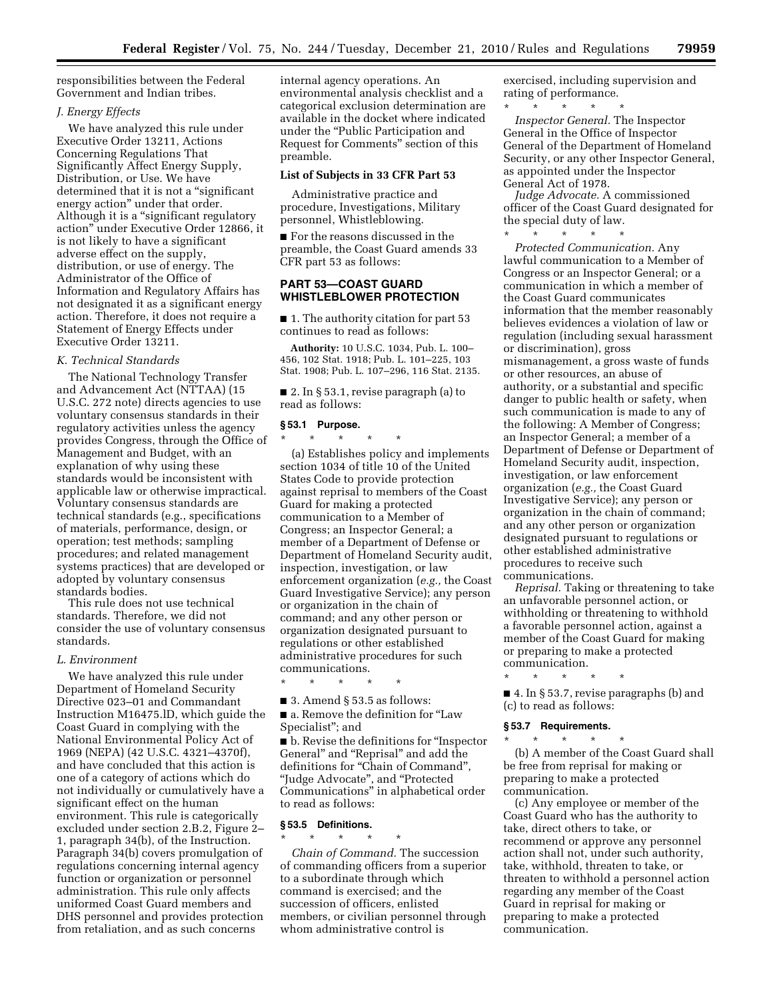responsibilities between the Federal Government and Indian tribes.

## *J. Energy Effects*

We have analyzed this rule under Executive Order 13211, Actions Concerning Regulations That Significantly Affect Energy Supply, Distribution, or Use. We have determined that it is not a ''significant energy action'' under that order. Although it is a ''significant regulatory action'' under Executive Order 12866, it is not likely to have a significant adverse effect on the supply, distribution, or use of energy. The Administrator of the Office of Information and Regulatory Affairs has not designated it as a significant energy action. Therefore, it does not require a Statement of Energy Effects under Executive Order 13211.

# *K. Technical Standards*

The National Technology Transfer and Advancement Act (NTTAA) (15 U.S.C. 272 note) directs agencies to use voluntary consensus standards in their regulatory activities unless the agency provides Congress, through the Office of Management and Budget, with an explanation of why using these standards would be inconsistent with applicable law or otherwise impractical. Voluntary consensus standards are technical standards (e.g., specifications of materials, performance, design, or operation; test methods; sampling procedures; and related management systems practices) that are developed or adopted by voluntary consensus standards bodies.

This rule does not use technical standards. Therefore, we did not consider the use of voluntary consensus standards.

### *L. Environment*

We have analyzed this rule under Department of Homeland Security Directive 023–01 and Commandant Instruction M16475.lD, which guide the Coast Guard in complying with the National Environmental Policy Act of 1969 (NEPA) (42 U.S.C. 4321–4370f), and have concluded that this action is one of a category of actions which do not individually or cumulatively have a significant effect on the human environment. This rule is categorically excluded under section 2.B.2, Figure 2– 1, paragraph 34(b), of the Instruction. Paragraph 34(b) covers promulgation of regulations concerning internal agency function or organization or personnel administration. This rule only affects uniformed Coast Guard members and DHS personnel and provides protection from retaliation, and as such concerns

internal agency operations. An environmental analysis checklist and a categorical exclusion determination are available in the docket where indicated under the ''Public Participation and Request for Comments'' section of this preamble.

#### **List of Subjects in 33 CFR Part 53**

Administrative practice and procedure, Investigations, Military personnel, Whistleblowing.

■ For the reasons discussed in the preamble, the Coast Guard amends 33 CFR part 53 as follows:

# **PART 53—COAST GUARD WHISTLEBLOWER PROTECTION**

■ 1. The authority citation for part 53 continues to read as follows:

**Authority:** 10 U.S.C. 1034, Pub. L. 100– 456, 102 Stat. 1918; Pub. L. 101–225, 103 Stat. 1908; Pub. L. 107–296, 116 Stat. 2135.

■ 2. In § 53.1, revise paragraph (a) to read as follows:

#### **§ 53.1 Purpose.**   $*$  \*

(a) Establishes policy and implements section 1034 of title 10 of the United States Code to provide protection against reprisal to members of the Coast Guard for making a protected communication to a Member of Congress; an Inspector General; a member of a Department of Defense or Department of Homeland Security audit, inspection, investigation, or law enforcement organization (*e.g.,* the Coast Guard Investigative Service); any person or organization in the chain of command; and any other person or organization designated pursuant to regulations or other established administrative procedures for such communications.

\* \* \* \* \*

■ 3. Amend § 53.5 as follows:

■ a. Remove the definition for "Law Specialist''; and

■ b. Revise the definitions for "Inspector General'' and ''Reprisal'' and add the definitions for "Chain of Command", ''Judge Advocate'', and ''Protected Communications'' in alphabetical order to read as follows:

# **§ 53.5 Definitions.**

\* \* \* \* \* *Chain of Command.* The succession of commanding officers from a superior to a subordinate through which command is exercised; and the succession of officers, enlisted members, or civilian personnel through whom administrative control is

exercised, including supervision and rating of performance.

\* \* \* \* \* *Inspector General.* The Inspector General in the Office of Inspector General of the Department of Homeland Security, or any other Inspector General, as appointed under the Inspector General Act of 1978.

*Judge Advocate.* A commissioned officer of the Coast Guard designated for the special duty of law.

\* \* \* \* \*

*Protected Communication.* Any lawful communication to a Member of Congress or an Inspector General; or a communication in which a member of the Coast Guard communicates information that the member reasonably believes evidences a violation of law or regulation (including sexual harassment or discrimination), gross mismanagement, a gross waste of funds or other resources, an abuse of authority, or a substantial and specific danger to public health or safety, when such communication is made to any of the following: A Member of Congress; an Inspector General; a member of a Department of Defense or Department of Homeland Security audit, inspection, investigation, or law enforcement organization (*e.g.,* the Coast Guard Investigative Service); any person or organization in the chain of command; and any other person or organization designated pursuant to regulations or other established administrative procedures to receive such communications.

*Reprisal.* Taking or threatening to take an unfavorable personnel action, or withholding or threatening to withhold a favorable personnel action, against a member of the Coast Guard for making or preparing to make a protected communication.

■ 4. In § 53.7, revise paragraphs (b) and (c) to read as follows:

#### **§ 53.7 Requirements.**

\* \* \* \* \*

\* \* \* \* \* (b) A member of the Coast Guard shall be free from reprisal for making or preparing to make a protected communication.

(c) Any employee or member of the Coast Guard who has the authority to take, direct others to take, or recommend or approve any personnel action shall not, under such authority, take, withhold, threaten to take, or threaten to withhold a personnel action regarding any member of the Coast Guard in reprisal for making or preparing to make a protected communication.